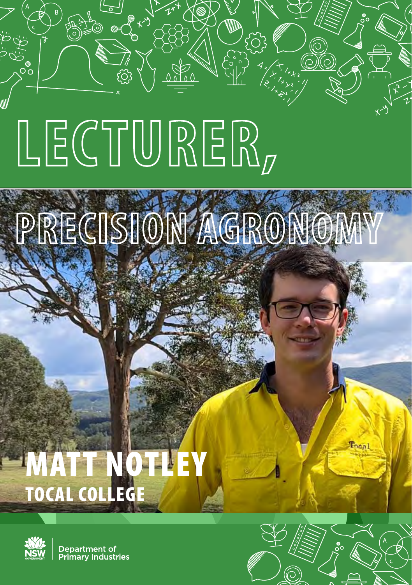# **LECTURER,**

**PRECISION AGRONOMY**

## **TTEVO** TOCAL COLLEGE



൦ഁ

Department of rimary Industries

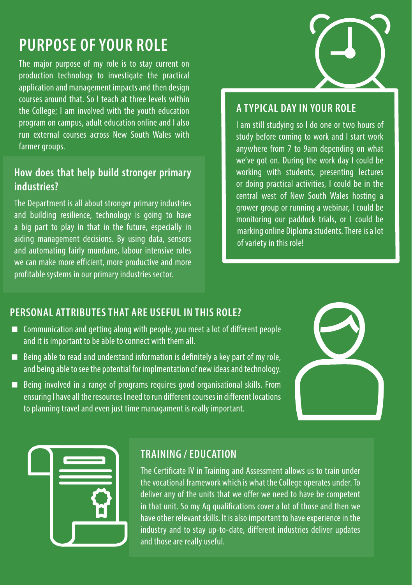### **PURPOSE OF YOUR ROLE**

The major purpose of my role is to stay current on production technology to investigate the practical application and management impacts and then design courses around that. So I teach at three levels within the College; I am involved with the youth education program on campus, adult education online and I also run external courses across New South Wales with farmer groups.

#### **How does that help build stronger primary industries?**

The Department is all about stronger primary industries and building resilience, technology is going to have a big part to play in that in the future, especially in aiding management decisions. By using data, sensors and automating fairly mundane, labour intensive roles we can make more efficient, more productive and more profitable systems in our primary industries sector.

#### **A TYPICAL DAY IN YOUR ROLE**

I am still studying so I do one or two hours of study before coming to work and I start work anywhere from 7 to 9am depending on what we've got on. During the work day I could be working with students, presenting lectures or doing practical activities, I could be in the central west of New South Wales hosting a grower group or running a webinar, I could be monitoring our paddock trials, or I could be marking online Diploma students. There is a lot of variety in this role!

#### **PERSONAL ATTRIBUTES THAT ARE USEFUL IN THIS ROLE?**

- Communication and getting along with people, you meet a lot of different people and it is important to be able to connect with them all.
- $\blacksquare$  Being able to read and understand information is definitely a key part of my role, and being able to see the potential for implmentation of new ideas and technology.
- Being involved in a range of programs requires good organisational skills. From ensuring I have all the resources I need to run different courses in different locations to planning travel and even just time managament is really important.





#### **TRAINING / EDUCATION**

The Certificate IV in Training and Assessment allows us to train under the vocational framework which is what the College operates under. To deliver any of the units that we offer we need to have be competent in that unit. So my Ag qualifications cover a lot of those and then we have other relevant skills. It is also important to have experience in the industry and to stay up-to-date, different industries deliver updates and those are really useful.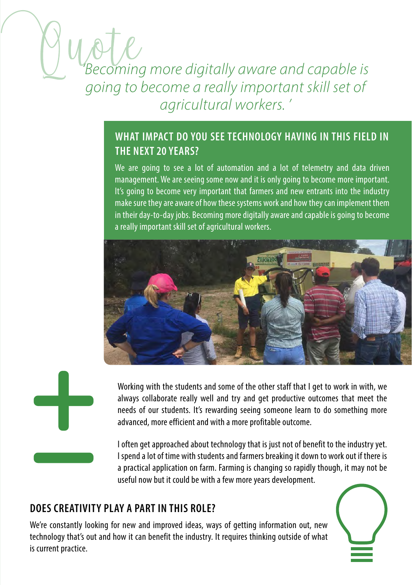#### *'Becoming more digitally aware and capable is going to become a really important skill set of agricultural workers. '*

#### **WHAT IMPACT DO YOU SEE TECHNOLOGY HAVING IN THIS FIELD IN THE NEXT 20 YEARS?**

We are going to see a lot of automation and a lot of telemetry and data driven management. We are seeing some now and it is only going to become more important. It's going to become very important that farmers and new entrants into the industry make sure they are aware of how these systems work and how they can implement them in their day-to-day jobs. Becoming more digitally aware and capable is going to become a really important skill set of agricultural workers.





Working with the students and some of the other staff that I get to work in with, we always collaborate really well and try and get productive outcomes that meet the needs of our students. It's rewarding seeing someone learn to do something more advanced, more efficient and with a more profitable outcome.

I often get approached about technology that is just not of benefit to the industry yet. I spend a lot of time with students and farmers breaking it down to work out if there is a practical application on farm. Farming is changing so rapidly though, it may not be useful now but it could be with a few more years development.

#### **DOES CREATIVITY PLAY A PART IN THIS ROLE?**

We're constantly looking for new and improved ideas, ways of getting information out, new technology that's out and how it can benefit the industry. It requires thinking outside of what is current practice.